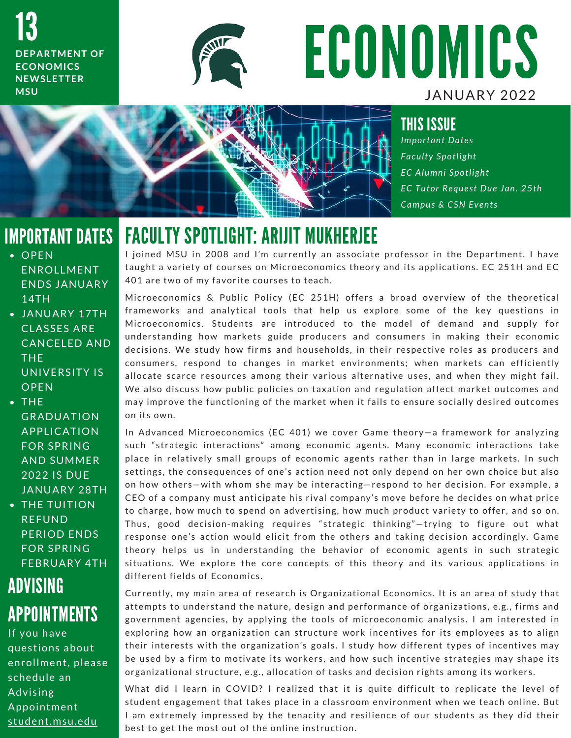13 **DEPARTMENT OF** E CONOMICS **N E W S L E T T E R M S U**



# ECONOMICS JANUARY 2022

#### THIS ISSUE

*I m p o r t a n t D a t e s F a c u l t y S p o t l i g h t E C A l u m n i S p o t l i g h t E C T u t o r R e q u e s t D u e J a n . 2 5 t h Campus & CSN Events* 

### IMPORTANT DATES

- $\overline{\overline{OPEN}}$ EN ROLLMENT **ENDS JANUARY** 14 T H
- JANUARY 17TH **CLASSES ARE** CANCELED AND TH<sub>F</sub> UNIVERSITY IS **OPEN**
- $\bullet$  THE **GRADUATION APPLICATION FOR SPRING AND SUMMER** 2022 IS DUE **JANUARY 28TH** • THE TUITION
- **RFFUND** PERIOD ENDS **FOR SPRING FEBRUARY 4TH**

## ADVISING APPOINTMENTS

If you have questions about enrollment, please schedule an **Advising** Appointment student.msu.edu

FACULTY SPOTLIGHT: ARIJIT MUKHERJEE<br>I joined MSU in 2008 and I'm currently an associate professor in the Department. I have T AUULTT UTUTLINIT. ANIJIT MUNILINJEL<br>I joined MSU in 2008 and I'm currently an associate professor in the Department. I have<br>taught a variety of courses on Microeconomics theory and its applications. EC 251H and EC I joined MSU in 2008 and I'm currently an a<br>taught a variety of courses on Microeconomi<br>401 are two of my favorite courses to teach.

M i c r o control of the control of the control of the control of the theoretical<br>And are two of my favorite courses to teach.<br>Microeconomics & Public Policy (EC 251H) offers a broad overview of the theoretical for are the or m, ratefite courses to teasm.<br>Microeconomics & Public Policy (EC 251H) offers a broad overview of the theoretical<br>frameworks and analytical tools that help us explore some of the key questions in Microeconomics & Public Policy (EC 251H) offers a broad overview of the theoretical<br>frameworks and analytical tools that help us explore some of the key questions in<br>Microeconomics. Students are introduced to the model of frameworks and analytical tools that help us explore some of the key questions in<br>Microeconomics. Students are introduced to the model of demand and supply for<br>understanding how markets guide producers and consumers in mak Microeconomics. Students are introduced to the model of demand and supply for<br>understanding how markets guide producers and consumers in making their economic<br>decisions. We study how firms and households, in their respecti understanding how markets guide producers and consumers in making their economic<br>decisions. We study how firms and households, in their respective roles as producers and<br>consumers, respond to changes in market environments decisions. We study how firms and households, in their respective roles as producers and<br>consumers, respond to changes in market environments; when markets can efficiently<br>allocate scarce resources among their various alte consumers, respond to changes in market environments; when markets can efficiently<br>allocate scarce resources among their various alternative uses, and when they might fail.<br>We also discuss how public policies on taxation a allocate scarce resources among their various alternative uses, and when they might fail.<br>We also discuss how public policies on taxation and regulation affect market outcomes and<br>may improve the functioning of the market We also dise<br>may improve<br>on its own. on its own.<br>In Advanced Microeconomics (EC 401) we cover Game theory—a framework for analyzing

such "strategic interactions" among economic agents. Many economic interactions take In Advanced Microeconomics (EC 401) we cover Game theory—a framework for analyzing<br>such "strategic interactions" among economic agents. Many economic interactions take<br>place in relatively small groups of economic agents ra such "strategic interactions" among economic agents. Many economic interactions take<br>place in relatively small groups of economic agents rather than in large markets. In such<br>settings, the consequences of one's action need place in relatively small groups of economic agents rather than in large markets. In such<br>settings, the consequences of one's action need not only depend on her own choice but also<br>on how others—with whom she may be intera settings, the consequences of one's action need not only depend on her own choice but also<br>on how others—with whom she may be interacting—respond to her decision. For example, a<br>CEO of a company must anticipate his rival c on how others—with whom she may be interacting—respond to her decision. For example, a<br>CEO of a company must anticipate his rival company's move before he decides on what price<br>to charge, how much to spend on advertising, CEO ot a company must anticipate his rival company's move before he decides on what price<br>to charge, how much to spend on advertising, how much product variety to offer, and so on.<br>Thus, good decision-making requires "st to charge, how much to spend on advertising, how much product variety to offer, and so on.<br>Thus, good decision-making requires "strategic thinking"—trying to figure out what<br>response one's action would elicit from t thus, good decision-making requires "strategic thinking"—trying to figure out what<br>response one's action would elicit from the others and taking decision accordingly. Game<br>theory helps us in understanding the behavior of e theory helps us in understanding the behavior of economic agents in such strategic<br>situations. We explore the core concepts of this theory and its various applications in<br>different fields of Economics. situations. We explore the core concepts of this theory and its various applications in C underty and the correspondent in the correspondent of the correspondence of the stations in different fields of Economics.<br>Currently, my main area of research is Organizational Economics. It is an area of study that

amerem neras or Economics.<br>Currently, my main area of research is Organizational Economics. It is an area of study that<br>attempts to understand the nature, design and performance of organizations, e.g., firms and Currently, my main area of research is Organizational Economics. It is an area of study that<br>attempts to understand the nature, design and performance of organizations, e.g., firms and<br>government agencies, by applying the attempts to understand the nature, design and performance of organizations, e.g., firms and<br>government agencies, by applying the tools of microeconomic analysis. I am interested in<br>exploring how an organization can structu government agencies, by applying the tools of microeconomic analysis. I am interested in<br>exploring how an organization can structure work incentives for its employees as to align<br>their interests with the organization's goa exploring how an organization can structure work incentives for its employees as to align<br>their interests with the organization's goals. I study how different types of incentives may<br>be used by a firm to motivate its worke be used by a firm to motivate its workers, and how such incentive strategies may shape its<br>organizational structure, e.g., allocation of tasks and decision rights among its workers.<br>What did I learn in COVID? I realized th

s t gam zational structure, e.g., anocation or tasks and decision rights among its workers.<br>What did I learn in COVID? I realized that it is quite difficult to replicate the level of<br>student engagement that takes place in What did I learn in COVID? I realized that it is quite difficult to replicate the level of<br>student engagement that takes place in a classroom environment when we teach online. But<br>I am extremely impressed by the tenacity a I am extremely impressed by the tenacity and resilience of our students as they did their best to get the most out of the online instruction.